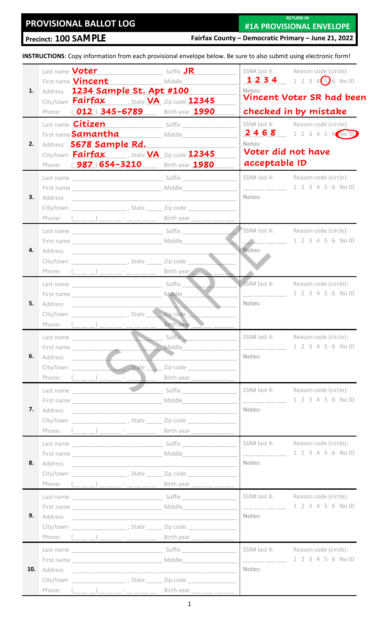# **PROVISIONAL BALLOT LOG**

**RETURN IN**

**Precinct: 100 SAMPLE**

**#1A PROVISIONAL ENVELOPE Fairfax County – Democratic Primary – June 21, 2022**

**INSTRUCTIONS**: Copy information from each provisional envelope below. Be sure to also submit using electronic form!

|     |           | <b>Suffix JR</b><br>Last name <b>Voter</b>                                               |                                                                                                                       |                                                                                                                                                                                                                                                                                                                                                                                                                                                                                   | SSN# last 4: Reason code (circle):         |
|-----|-----------|------------------------------------------------------------------------------------------|-----------------------------------------------------------------------------------------------------------------------|-----------------------------------------------------------------------------------------------------------------------------------------------------------------------------------------------------------------------------------------------------------------------------------------------------------------------------------------------------------------------------------------------------------------------------------------------------------------------------------|--------------------------------------------|
|     |           | First name <b>Vincent</b> Middle                                                         |                                                                                                                       |                                                                                                                                                                                                                                                                                                                                                                                                                                                                                   | 1234 1234 56 No ID                         |
| 1.  |           | Address 1234 Sample St. Apt #100                                                         |                                                                                                                       | Notes:                                                                                                                                                                                                                                                                                                                                                                                                                                                                            |                                            |
|     |           | City/town Fairfax , State VA Zip code 12345                                              |                                                                                                                       |                                                                                                                                                                                                                                                                                                                                                                                                                                                                                   | <b>Vincent Voter SR had been</b>           |
|     |           | Phone: (012) 345-6789__ Birth year 1990                                                  |                                                                                                                       |                                                                                                                                                                                                                                                                                                                                                                                                                                                                                   | checked in by mistake                      |
|     |           | Last name <b>Citizen</b> Suffix                                                          |                                                                                                                       |                                                                                                                                                                                                                                                                                                                                                                                                                                                                                   | SSN# last 4: Reason code (circle):         |
|     |           | First name <b>Samantha</b> Middle                                                        |                                                                                                                       |                                                                                                                                                                                                                                                                                                                                                                                                                                                                                   | 2468 123456 No ID                          |
| 2.  |           | Address 5678 Sample Rd.                                                                  |                                                                                                                       | Notes:                                                                                                                                                                                                                                                                                                                                                                                                                                                                            |                                            |
|     |           | City/town <b>Fairfax</b> , State <b>VA</b> Zip code 12345                                |                                                                                                                       |                                                                                                                                                                                                                                                                                                                                                                                                                                                                                   | Voter did not have                         |
|     |           | Phone: (987) 654-3210 __ Birth year 1980                                                 |                                                                                                                       | acceptable ID                                                                                                                                                                                                                                                                                                                                                                                                                                                                     |                                            |
|     |           |                                                                                          |                                                                                                                       |                                                                                                                                                                                                                                                                                                                                                                                                                                                                                   | SSN# last 4: Reason code (circle):         |
|     |           |                                                                                          |                                                                                                                       | $\frac{1}{1-\frac{1}{2}}\frac{1}{1-\frac{1}{2}}\frac{1}{1-\frac{1}{2}}\frac{1}{1-\frac{1}{2}}\frac{1}{1-\frac{1}{2}}\frac{1}{1-\frac{1}{2}}\frac{1}{1-\frac{1}{2}}\frac{1}{1-\frac{1}{2}}\frac{1}{1-\frac{1}{2}}\frac{1}{1-\frac{1}{2}}\frac{1}{1-\frac{1}{2}}\frac{1}{1-\frac{1}{2}}\frac{1}{1-\frac{1}{2}}\frac{1}{1-\frac{1}{2}}\frac{1}{1-\frac{1}{2}}\frac{1}{1-\frac{1}{2}}\frac{1}{1-\frac{1}{2$                                                                           | 1 2 3 4 5 6 No ID                          |
| 3.  |           |                                                                                          |                                                                                                                       | Notes:                                                                                                                                                                                                                                                                                                                                                                                                                                                                            |                                            |
|     |           | City/town City/town City/town City/town City/town City/town City                         |                                                                                                                       |                                                                                                                                                                                                                                                                                                                                                                                                                                                                                   |                                            |
|     |           |                                                                                          |                                                                                                                       |                                                                                                                                                                                                                                                                                                                                                                                                                                                                                   |                                            |
|     |           |                                                                                          |                                                                                                                       |                                                                                                                                                                                                                                                                                                                                                                                                                                                                                   | SSN# last 4: Reason code (circle):         |
|     |           |                                                                                          |                                                                                                                       |                                                                                                                                                                                                                                                                                                                                                                                                                                                                                   | 1 2 3 4 5 6 No ID                          |
| 4.  |           |                                                                                          |                                                                                                                       | Notes:                                                                                                                                                                                                                                                                                                                                                                                                                                                                            |                                            |
|     |           |                                                                                          |                                                                                                                       |                                                                                                                                                                                                                                                                                                                                                                                                                                                                                   |                                            |
|     |           |                                                                                          |                                                                                                                       |                                                                                                                                                                                                                                                                                                                                                                                                                                                                                   |                                            |
|     |           |                                                                                          |                                                                                                                       |                                                                                                                                                                                                                                                                                                                                                                                                                                                                                   | SSN# last 4: Reason code (circle):         |
|     |           |                                                                                          | Middle                                                                                                                |                                                                                                                                                                                                                                                                                                                                                                                                                                                                                   | 1 2 3 4 5 6 No ID                          |
| 5.  |           |                                                                                          |                                                                                                                       | Notes:                                                                                                                                                                                                                                                                                                                                                                                                                                                                            |                                            |
|     |           |                                                                                          |                                                                                                                       |                                                                                                                                                                                                                                                                                                                                                                                                                                                                                   |                                            |
|     |           | Phone: $(\_\_ \_ \_ )$                                                                   | Birth year                                                                                                            |                                                                                                                                                                                                                                                                                                                                                                                                                                                                                   |                                            |
|     | Last name |                                                                                          | Suffix                                                                                                                |                                                                                                                                                                                                                                                                                                                                                                                                                                                                                   | SSN# last 4: Reason code (circle):         |
|     |           | First name                                                                               | Middle                                                                                                                | $\frac{1}{1-\frac{1}{1-\frac{1}{1-\frac{1}{1-\frac{1}{1-\frac{1}{1-\frac{1}{1-\frac{1}{1-\frac{1}{1-\frac{1}{1-\frac{1}{1-\frac{1}{1-\frac{1}{1-\frac{1}{1-\frac{1}{1-\frac{1}{1-\frac{1}{1-\frac{1}{1-\frac{1}{1-\frac{1}{1-\frac{1}{1-\frac{1}{1-\frac{1}{1-\frac{1}{1-\frac{1}{1-\frac{1}{1-\frac{1}{1-\frac{1}{1-\frac{1}{1-\frac{1}{1-\frac{1}{1-\frac{1}{1-\frac{1}{1-\frac{1}{1-\frac{1}{1-\frac{1}{1-\frac{1$                                                             | 1 2 3 4 5 6 No ID                          |
| 6.  |           | Address __________                                                                       |                                                                                                                       | Notes:                                                                                                                                                                                                                                                                                                                                                                                                                                                                            |                                            |
|     |           | , State                                                                                  |                                                                                                                       |                                                                                                                                                                                                                                                                                                                                                                                                                                                                                   |                                            |
|     |           | Phone: $(\_\_ \_ )$                                                                      | Birth year ___ __ ___                                                                                                 |                                                                                                                                                                                                                                                                                                                                                                                                                                                                                   |                                            |
|     |           | Last name                                                                                |                                                                                                                       | SSN# last 4:                                                                                                                                                                                                                                                                                                                                                                                                                                                                      | Reason code (circle):                      |
| 7.  |           | First name                                                                               | Middle                                                                                                                | $\frac{1}{1-\alpha} = \frac{1}{1-\alpha} = \frac{1}{1-\alpha}$<br>Notes:                                                                                                                                                                                                                                                                                                                                                                                                          | 1 2 3 4 5 6 No ID                          |
|     | Address   | City/town State River State                                                              |                                                                                                                       |                                                                                                                                                                                                                                                                                                                                                                                                                                                                                   |                                            |
|     |           |                                                                                          |                                                                                                                       |                                                                                                                                                                                                                                                                                                                                                                                                                                                                                   |                                            |
|     |           | Phone: $(\_\_ \_ \_ )$ $(\_\_ \_ \_ \_ \_ \_ \_ \_ \_ \_ \_ \_$                          | Birth year $\_\_\_\_\_\_\_\_\_\_\_$                                                                                   |                                                                                                                                                                                                                                                                                                                                                                                                                                                                                   |                                            |
|     |           |                                                                                          |                                                                                                                       | SSN# last 4:                                                                                                                                                                                                                                                                                                                                                                                                                                                                      | Reason code (circle):<br>1 2 3 4 5 6 No ID |
| 8.  |           |                                                                                          |                                                                                                                       | Notes:                                                                                                                                                                                                                                                                                                                                                                                                                                                                            |                                            |
|     |           |                                                                                          |                                                                                                                       |                                                                                                                                                                                                                                                                                                                                                                                                                                                                                   |                                            |
|     |           | Phone: $(\_ \_ \_ \_ \_ \_ \_ \_ \_ \_ \_ \_ \_ \_$                                      | Birth year $\_\_\_\_\_\_\_\_\_\_\_\_$                                                                                 |                                                                                                                                                                                                                                                                                                                                                                                                                                                                                   |                                            |
|     |           |                                                                                          | Suffix                                                                                                                | SSN# last 4:                                                                                                                                                                                                                                                                                                                                                                                                                                                                      | Reason code (circle):                      |
|     |           | First name                                                                               | Middle                                                                                                                | $\frac{1}{1-\alpha} \frac{1}{1-\alpha} \frac{1}{1-\alpha} \frac{1}{1-\alpha} \frac{1}{1-\alpha} \frac{1}{1-\alpha} \frac{1}{1-\alpha} \frac{1}{1-\alpha} \frac{1}{1-\alpha} \frac{1}{1-\alpha} \frac{1}{1-\alpha} \frac{1}{1-\alpha} \frac{1}{1-\alpha} \frac{1}{1-\alpha} \frac{1}{1-\alpha} \frac{1}{1-\alpha} \frac{1}{1-\alpha} \frac{1}{1-\alpha} \frac{1}{1-\alpha} \frac{1}{1-\alpha} \frac{1}{1-\alpha} \frac{1}{1-\alpha} \frac{1}{1-\alpha} \frac{1}{1-\alpha} \frac{1$ | 1 2 3 4 5 6 No ID                          |
| 9.  |           |                                                                                          |                                                                                                                       | Notes:                                                                                                                                                                                                                                                                                                                                                                                                                                                                            |                                            |
|     |           | City/town , State                                                                        | Zip code <u>and the set of the set of the set of the set of the set of the set of the set of the set of the set o</u> |                                                                                                                                                                                                                                                                                                                                                                                                                                                                                   |                                            |
|     |           | Phone: $(\_\_ \_ )$<br>$\bar{a}$ and $\bar{a}$ and $\bar{a}$ and $\bar{a}$ and $\bar{a}$ | Birth year ___ __ __                                                                                                  |                                                                                                                                                                                                                                                                                                                                                                                                                                                                                   |                                            |
|     |           |                                                                                          | <b>Suffix Exercise Suffix</b>                                                                                         | SSN# last 4:                                                                                                                                                                                                                                                                                                                                                                                                                                                                      | Reason code (circle):                      |
|     |           | First name                                                                               |                                                                                                                       | $\frac{1}{1-\frac{1}{1-\frac{1}{1-\frac{1}{1-\frac{1}{1-\frac{1}{1-\frac{1}{1-\frac{1}{1-\frac{1}{1-\frac{1}{1-\frac{1}{1-\frac{1}{1-\frac{1}{1-\frac{1}{1-\frac{1}{1-\frac{1}{1-\frac{1}{1-\frac{1}{1-\frac{1}{1-\frac{1}{1-\frac{1}{1-\frac{1}{1-\frac{1}{1-\frac{1}{1-\frac{1}{1-\frac{1}{1-\frac{1}{1-\frac{1}{1-\frac{1}{1-\frac{1}{1-\frac{1}{1-\frac{1}{1-\frac{1}{1-\frac{1}{1-\frac{1}{1-\frac{1}{1-\frac{1$                                                             | 1 2 3 4 5 6 No ID                          |
| 10. | Address   |                                                                                          |                                                                                                                       | Notes:                                                                                                                                                                                                                                                                                                                                                                                                                                                                            |                                            |
|     |           | City/town _______________________, State ________ Zip code                               |                                                                                                                       |                                                                                                                                                                                                                                                                                                                                                                                                                                                                                   |                                            |
|     |           | Phone: $(\_\_ \_ \_ )$ $(\_\_ \_ \_ \_ \_ \_ \_ \_ \_ \_ \_ \_ \_$                       | Birth year ___ __ _                                                                                                   |                                                                                                                                                                                                                                                                                                                                                                                                                                                                                   |                                            |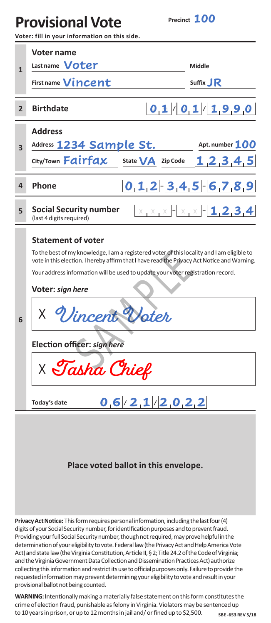# **Provisional Vote**

**100**

**Voter: fill in your information on this side.**

|                | Voter name                                                                                                                                                                                                                                                                                                                                                                                                                                 |                             |  |  |  |
|----------------|--------------------------------------------------------------------------------------------------------------------------------------------------------------------------------------------------------------------------------------------------------------------------------------------------------------------------------------------------------------------------------------------------------------------------------------------|-----------------------------|--|--|--|
| 1              | Last name <b>Voter</b>                                                                                                                                                                                                                                                                                                                                                                                                                     | Middle                      |  |  |  |
|                | First name Vincent                                                                                                                                                                                                                                                                                                                                                                                                                         | Suffix JR                   |  |  |  |
|                |                                                                                                                                                                                                                                                                                                                                                                                                                                            |                             |  |  |  |
| $\overline{2}$ | <b>Birthdate</b>                                                                                                                                                                                                                                                                                                                                                                                                                           | $ 0,1 $ $ 0,1 $ $ 1,9,9,0 $ |  |  |  |
| 3              | <b>Address</b>                                                                                                                                                                                                                                                                                                                                                                                                                             |                             |  |  |  |
|                | Address 1234 Sample St.                                                                                                                                                                                                                                                                                                                                                                                                                    | Apt. number 100             |  |  |  |
|                | City/Town <b>Fairfax</b><br>State $\bigvee A$ Zip Code                                                                                                                                                                                                                                                                                                                                                                                     | 1, 2, 3, 4, 5               |  |  |  |
| 4              | Phone                                                                                                                                                                                                                                                                                                                                                                                                                                      | $0,1,2$ $-3,4,5$ $-6,7,8,9$ |  |  |  |
| 5              | <b>Social Security number</b><br>(last 4 digits required)                                                                                                                                                                                                                                                                                                                                                                                  |                             |  |  |  |
| 6              | <b>Statement of voter</b><br>To the best of my knowledge, I am a registered voter of this locality and I am eligible to<br>vote in this election. I hereby affirm that I have read the Privacy Act Notice and Warning.<br>Your address information will be used to update your voter registration record.<br>Voter: sign here<br>X Vincent Voter<br>Election officer: sign here<br>$\times$ Tasha Chief<br>0,6/2,1/2,0,2,2<br>Today's date |                             |  |  |  |
|                | Place voted ballot in this envelope.                                                                                                                                                                                                                                                                                                                                                                                                       |                             |  |  |  |

**Privacy Act Notice:** This form requires personal information, including the last four (4) digits of your Social Security number, for identification purposes and to prevent fraud. Providing your full Social Security number, though not required, may prove helpful in the determination of your eligibility to vote. Federal law (the Privacy Act and Help America Vote Act) and state law (the Virginia Constitution, Article II, § 2; Title 24.2 of the Code of Virginia; and the Virginia Government Data Collection and Dissemination Practices Act) authorize collecting this information and restrict its use to official purposes only. Failure to provide the requested information may prevent determining your eligibility to vote and result in your provisional ballot not being counted.

**WARNING:** Intentionally making a materially false statement on this form constitutes the crime of election fraud, punishable as felony in Virginia. Violators may be sentenced up to 10 years in prison, or up to 12 months in jail and/ or fined up to \$2,500. SBE-653 REV 5/18